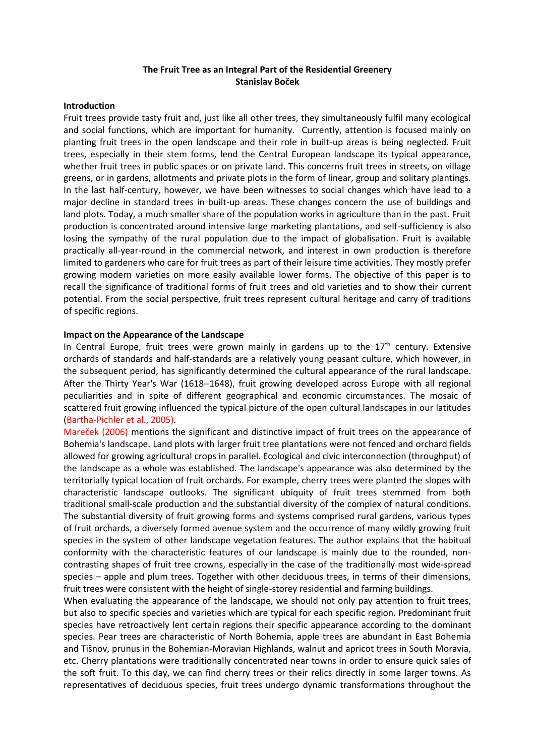# **The Fruit Tree as an Integral Part of the Residential Greenery Stanislav Boček**

#### **Introduction**

Fruit trees provide tasty fruit and, just like all other trees, they simultaneously fulfil many ecological and social functions, which are important for humanity. Currently, attention is focused mainly on planting fruit trees in the open landscape and their role in built-up areas is being neglected. Fruit trees, especially in their stem forms, lend the Central European landscape its typical appearance, whether fruit trees in public spaces or on private land. This concerns fruit trees in streets, on village greens, or in gardens, allotments and private plots in the form of linear, group and solitary plantings. In the last half-century, however, we have been witnesses to social changes which have lead to a major decline in standard trees in built-up areas. These changes concern the use of buildings and land plots. Today, a much smaller share of the population works in agriculture than in the past. Fruit production is concentrated around intensive large marketing plantations, and self-sufficiency is also losing the sympathy of the rural population due to the impact of globalisation. Fruit is available practically all-year-round in the commercial network, and interest in own production is therefore limited to gardeners who care for fruit trees as part of their leisure time activities. They mostly prefer growing modern varieties on more easily available lower forms. The objective of this paper is to recall the significance of traditional forms of fruit trees and old varieties and to show their current potential. From the social perspective, fruit trees represent cultural heritage and carry of traditions of specific regions.

### **Impact on the Appearance of the Landscape**

In Central Europe, fruit trees were grown mainly in gardens up to the  $17<sup>th</sup>$  century. Extensive orchards of standards and half-standards are a relatively young peasant culture, which however, in the subsequent period, has significantly determined the cultural appearance of the rural landscape. After the Thirty Year's War (1618–1648), fruit growing developed across Europe with all regional peculiarities and in spite of different geographical and economic circumstances. The mosaic of scattered fruit growing influenced the typical picture of the open cultural landscapes in our latitudes (Bartha-Pichler et al., 2005).

Mareček (2006) mentions the significant and distinctive impact of fruit trees on the appearance of Bohemia's landscape. Land plots with larger fruit tree plantations were not fenced and orchard fields allowed for growing agricultural crops in parallel. Ecological and civic interconnection (throughput) of the landscape as a whole was established. The landscape's appearance was also determined by the territorially typical location of fruit orchards. For example, cherry trees were planted the slopes with characteristic landscape outlooks. The significant ubiquity of fruit trees stemmed from both traditional small-scale production and the substantial diversity of the complex of natural conditions. The substantial diversity of fruit growing forms and systems comprised rural gardens, various types of fruit orchards, a diversely formed avenue system and the occurrence of many wildly growing fruit species in the system of other landscape vegetation features. The author explains that the habitual conformity with the characteristic features of our landscape is mainly due to the rounded, non contrasting shapes of fruit tree crowns, especially in the case of the traditionally most wide-spread species – apple and plum trees. Together with other deciduous trees, in terms of their dimensions, fruit trees were consistent with the height of single-storey residential and farming buildings.

When evaluating the appearance of the landscape, we should not only pay attention to fruit trees, but also to specific species and varieties which are typical for each specific region. Predominant fruit species have retroactively lent certain regions their specific appearance according to the dominant species. Pear trees are characteristic of North Bohemia, apple trees are abundant in East Bohemia and Tišnov, prunus in the Bohemian-Moravian Highlands, walnut and apricot trees in South Moravia, etc. Cherry plantations were traditionally concentrated near towns in order to ensure quick sales of the soft fruit. To this day, we can find cherry trees or their relics directly in some larger towns. As representatives of deciduous species, fruit trees undergo dynamic transformations throughout the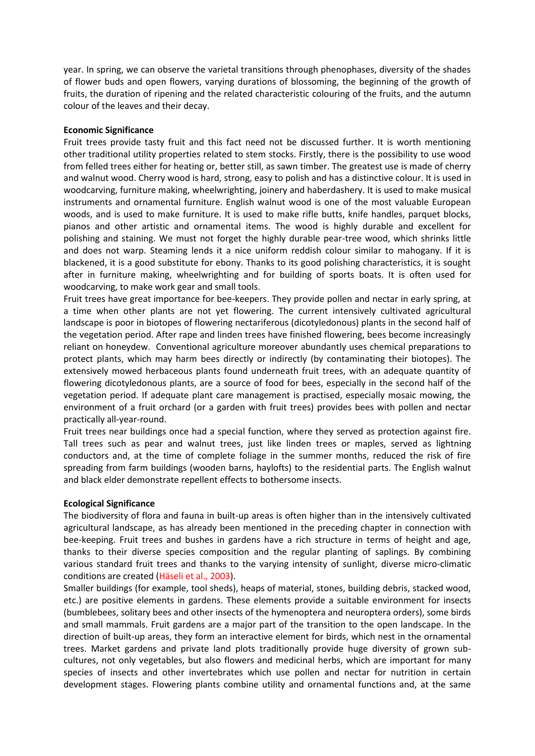year. In spring, we can observe the varietal transitions through phenophases, diversity of the shades of flower buds and open flowers, varying durations of blossoming, the beginning of the growth of fruits, the duration of ripening and the related characteristic colouring of the fruits, and the autumn colour of the leaves and their decay.

### **Economic Significance**

Fruit trees provide tasty fruit and this fact need not be discussed further. It is worth mentioning other traditional utility properties related to stem stocks. Firstly, there is the possibility to use wood from felled trees either for heating or, better still, as sawn timber. The greatest use is made of cherry and walnut wood. Cherry wood is hard, strong, easy to polish and has a distinctive colour. It is used in woodcarving, furniture making, wheelwrighting, joinery and haberdashery. It is used to make musical instruments and ornamental furniture. English walnut wood is one of the most valuable European woods, and is used to make furniture. It is used to make rifle butts, knife handles, parquet blocks, pianos and other artistic and ornamental items. The wood is highly durable and excellent for polishing and staining. We must not forget the highly durable pear-tree wood, which shrinks little and does not warp. Steaming lends it a nice uniform reddish colour similar to mahogany. If it is blackened, it is a good substitute for ebony. Thanks to its good polishing characteristics, it is sought after in furniture making, wheelwrighting and for building of sports boats. It is often used for woodcarving, to make work gear and small tools.

Fruit trees have great importance for bee-keepers. They provide pollen and nectar in early spring, at a time when other plants are not yet flowering. The current intensively cultivated agricultural landscape is poor in biotopes of flowering nectariferous (dicotyledonous) plants in the second half of the vegetation period. After rape and linden trees have finished flowering, bees become increasingly reliant on honeydew. Conventional agriculture moreover abundantly uses chemical preparations to protect plants, which may harm bees directly or indirectly (by contaminating their biotopes). The extensively mowed herbaceous plants found underneath fruit trees, with an adequate quantity of flowering dicotyledonous plants, are a source of food for bees, especially in the second half of the vegetation period. If adequate plant care management is practised, especially mosaic mowing, the environment of a fruit orchard (or a garden with fruit trees) provides bees with pollen and nectar practically all-year-round.

Fruit trees near buildings once had a special function, where they served as protection against fire. Tall trees such as pear and walnut trees, just like linden trees or maples, served as lightning conductors and, at the time of complete foliage in the summer months, reduced the risk of fire spreading from farm buildings (wooden barns, haylofts) to the residential parts. The English walnut and black elder demonstrate repellent effects to bothersome insects.

# **Ecological Significance**

The biodiversity of flora and fauna in built-up areas is often higher than in the intensively cultivated agricultural landscape, as has already been mentioned in the preceding chapter in connection with bee-keeping. Fruit trees and bushes in gardens have a rich structure in terms of height and age, thanks to their diverse species composition and the regular planting of saplings. By combining various standard fruit trees and thanks to the varying intensity of sunlight, diverse micro-climatic conditions are created (Häseli et al., 2003).

Smaller buildings (for example, tool sheds), heaps of material, stones, building debris, stacked wood, etc.) are positive elements in gardens. These elements provide a suitable environment for insects (bumblebees, solitary bees and other insects of the hymenoptera and neuroptera orders), some birds and small mammals. Fruit gardens are a major part of the transition to the open landscape. In the direction of built-up areas, they form an interactive element for birds, which nest in the ornamental trees. Market gardens and private land plots traditionally provide huge diversity of grown sub cultures, not only vegetables, but also flowers and medicinal herbs, which are important for many species of insects and other invertebrates which use pollen and nectar for nutrition in certain development stages. Flowering plants combine utility and ornamental functions and, at the same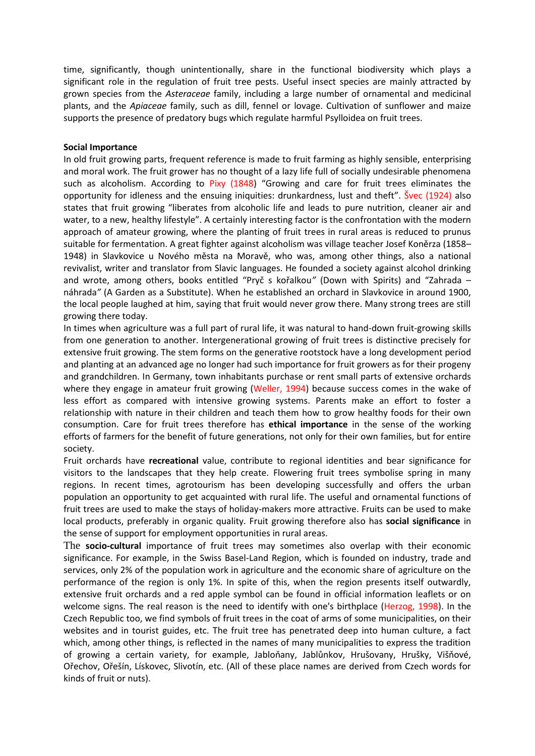time, significantly, though unintentionally, share in the functional biodiversity which plays a significant role in the regulation of fruit tree pests. Useful insect species are mainly attracted by grown species from the *Asteraceae* family, including a large number of ornamental and medicinal plants, and the *Apiaceae* family, such as dill, fennel or lovage. Cultivation of sunflower and maize supports the presence of predatory bugs which regulate harmful Psylloidea on fruit trees.

### **Social Importance**

In old fruit growing parts, frequent reference is made to fruit farming as highly sensible, enterprising and moral work. The fruit grower has no thought of a lazy life full of socially undesirable phenomena such as alcoholism. According to Pixy (1848) "Growing and care for fruit trees eliminates the opportunity for idleness and the ensuing iniquities: drunkardness, lust and theft". Švec (1924) also states that fruit growing "liberates from alcoholic life and leads to pure nutrition, cleaner air and water, to a new, healthy lifestyle". A certainly interesting factor is the confrontation with the modern approach of amateur growing, where the planting of fruit trees in rural areas is reduced to prunus suitable for fermentation. A great fighter against alcoholism was village teacher Josef Koněrza (1858– 1948) in Slavkovice u Nového města na Moravě, who was, among other things, also a national revivalist, writer and translator from Slavic languages. He founded a society against alcohol drinking and wrote, among others, books entitled "Pryč s kořalkou*"* (Down with Spirits) and "Zahrada – náhrada*"* (A Garden as a Substitute). When he established an orchard in Slavkovice in around 1900, the local people laughed at him, saying that fruit would never grow there. Many strong trees are still growing there today.

In times when agriculture was a full part of rural life, it was natural to hand-down fruit-growing skills from one generation to another. Intergenerational growing of fruit trees is distinctive precisely for extensive fruit growing. The stem forms on the generative rootstock have a long development period and planting at an advanced age no longer had such importance for fruit growers as for their progeny and grandchildren. In Germany, town inhabitants purchase or rent small parts of extensive orchards where they engage in amateur fruit growing (Weller, 1994) because success comes in the wake of less effort as compared with intensive growing systems. Parents make an effort to foster a relationship with nature in their children and teach them how to grow healthy foods for their own consumption. Care for fruit trees therefore has **ethical importance** in the sense of the working efforts of farmers for the benefit of future generations, not only for their own families, but for entire society.

Fruit orchards have **recreational** value, contribute to regional identities and bear significance for visitors to the landscapes that they help create. Flowering fruit trees symbolise spring in many regions. In recent times, agrotourism has been developing successfully and offers the urban population an opportunity to get acquainted with rural life. The useful and ornamental functions of fruit trees are used to make the stays of holiday-makers more attractive. Fruits can be used to make local products, preferably in organic quality. Fruit growing therefore also has **social significance** in the sense of support for employment opportunities in rural areas.

The **socio-cultural** importance of fruit trees may sometimes also overlap with their economic significance. For example, in the Swiss Basel-Land Region, which is founded on industry, trade and services, only 2% of the population work in agriculture and the economic share of agriculture on the performance of the region is only 1%. In spite of this, when the region presents itself outwardly, extensive fruit orchards and a red apple symbol can be found in official information leaflets or on welcome signs. The real reason is the need to identify with one's birthplace (Herzog, 1998). In the Czech Republic too, we find symbols of fruit trees in the coat of arms of some municipalities, on their websites and in tourist guides, etc. The fruit tree has penetrated deep into human culture, a fact which, among other things, is reflected in the names of many municipalities to express the tradition of growing a certain variety, for example, Jabloňany, Jablůnkov, Hrušovany, Hrušky, Višňové, Ořechov, Ořešín, Lískovec, Slivotín, etc. (All of these place names are derived from Czech words for kinds of fruit or nuts).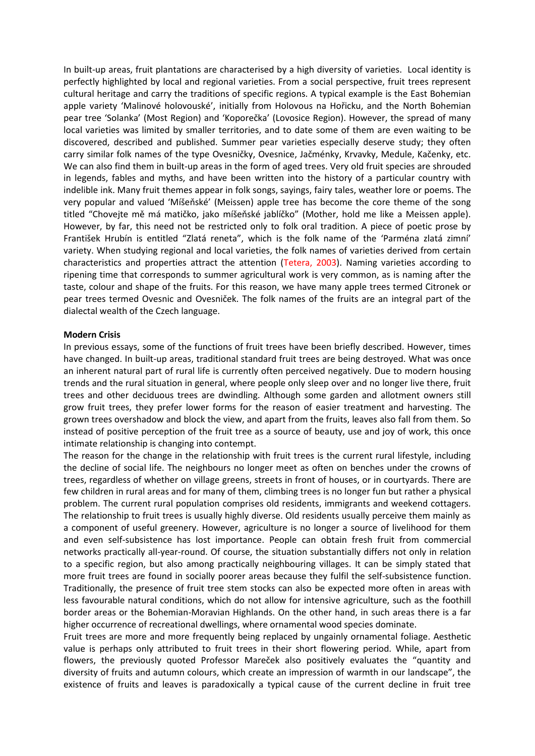In built-up areas, fruit plantations are characterised by a high diversity of varieties. Local identity is perfectly highlighted by local and regional varieties. From a social perspective, fruit trees represent cultural heritage and carry the traditions of specific regions. A typical example is the East Bohemian apple variety 'Malinové holovouské', initially from Holovous na Hořicku, and the North Bohemian pear tree 'Solanka' (Most Region) and 'Koporečka' (Lovosice Region). However, the spread of many local varieties was limited by smaller territories, and to date some of them are even waiting to be discovered, described and published. Summer pear varieties especially deserve study; they often carry similar folk names of the type Ovesničky, Ovesnice, Jačménky, Krvavky, Medule, Kačenky, etc*.* We can also find them in built-up areas in the form of aged trees. Very old fruit species are shrouded in legends, fables and myths, and have been written into the history of a particular country with indelible ink. Many fruit themes appear in folk songs, sayings, fairy tales, weather lore or poems. The very popular and valued 'Míšeňské' (Meissen) apple tree has become the core theme of the song titled "Chovejte mě má matičko, jako míšeňské jablíčko" (Mother, hold me like a Meissen apple). However, by far, this need not be restricted only to folk oral tradition. A piece of poetic prose by František Hrubín is entitled "Zlatá reneta", which is the folk name of the 'Parména zlatá zimní' variety. When studying regional and local varieties, the folk names of varieties derived from certain characteristics and properties attract the attention (Tetera, 2003). Naming varieties according to ripening time that corresponds to summer agricultural work is very common, as is naming after the taste, colour and shape of the fruits. For this reason, we have many apple trees termed Citronek or pear trees termed Ovesnic and Ovesniček. The folk names of the fruits are an integral part of the dialectal wealth of the Czech language.

#### **Modern Crisis**

In previous essays, some of the functions of fruit trees have been briefly described. However, times have changed. In built-up areas, traditional standard fruit trees are being destroyed. What was once an inherent natural part of rural life is currently often perceived negatively. Due to modern housing trends and the rural situation in general, where people only sleep over and no longer live there, fruit trees and other deciduous trees are dwindling. Although some garden and allotment owners still grow fruit trees, they prefer lower forms for the reason of easier treatment and harvesting. The grown trees overshadow and block the view, and apart from the fruits, leaves also fall from them. So instead of positive perception of the fruit tree as a source of beauty, use and joy of work, this once intimate relationship is changing into contempt.

The reason for the change in the relationship with fruit trees is the current rural lifestyle, including the decline of social life. The neighbours no longer meet as often on benches under the crowns of trees, regardless of whether on village greens, streets in front of houses, or in courtyards. There are few children in rural areas and for many of them, climbing trees is no longer fun but rather a physical problem. The current rural population comprises old residents, immigrants and weekend cottagers. The relationship to fruit trees is usually highly diverse. Old residents usually perceive them mainly as a component of useful greenery. However, agriculture is no longer a source of livelihood for them and even self-subsistence has lost importance. People can obtain fresh fruit from commercial networks practically all-year-round. Of course, the situation substantially differs not only in relation to a specific region, but also among practically neighbouring villages. It can be simply stated that more fruit trees are found in socially poorer areas because they fulfil the self-subsistence function. Traditionally, the presence of fruit tree stem stocks can also be expected more often in areas with less favourable natural conditions, which do not allow for intensive agriculture, such as the foothill border areas or the Bohemian-Moravian Highlands. On the other hand, in such areas there is a far higher occurrence of recreational dwellings, where ornamental wood species dominate.

Fruit trees are more and more frequently being replaced by ungainly ornamental foliage. Aesthetic value is perhaps only attributed to fruit trees in their short flowering period. While, apart from flowers, the previously quoted Professor Mareček also positively evaluates the "quantity and diversity of fruits and autumn colours, which create an impression of warmth in our landscape", the existence of fruits and leaves is paradoxically a typical cause of the current decline in fruit tree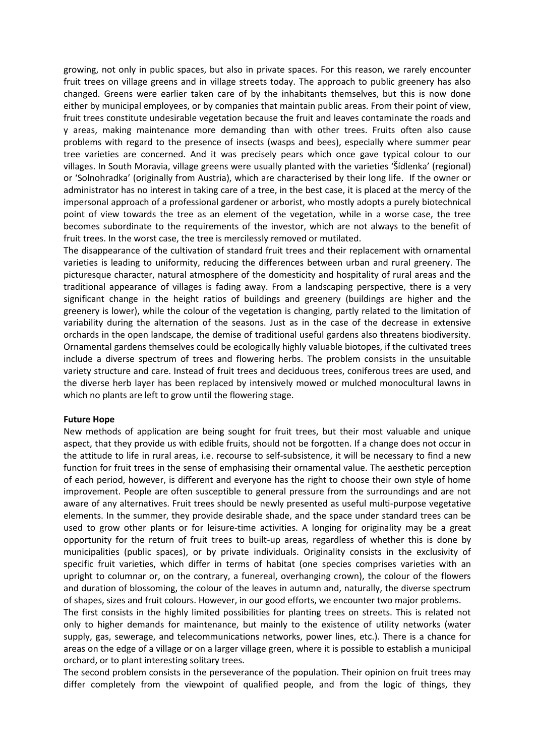growing, not only in public spaces, but also in private spaces. For this reason, we rarely encounter fruit trees on village greens and in village streets today. The approach to public greenery has also changed. Greens were earlier taken care of by the inhabitants themselves, but this is now done either by municipal employees, or by companies that maintain public areas. From their point of view, fruit trees constitute undesirable vegetation because the fruit and leaves contaminate the roads and y areas, making maintenance more demanding than with other trees. Fruits often also cause problems with regard to the presence of insects (wasps and bees), especially where summer pear tree varieties are concerned. And it was precisely pears which once gave typical colour to our villages. In South Moravia, village greens were usually planted with the varieties 'Šídlenka' (regional) or 'Solnohradka' (originally from Austria), which are characterised by their long life. If the owner or administrator has no interest in taking care of a tree, in the best case, it is placed at the mercy of the impersonal approach of a professional gardener or arborist, who mostly adopts a purely biotechnical point of view towards the tree as an element of the vegetation, while in a worse case, the tree becomes subordinate to the requirements of the investor, which are not always to the benefit of fruit trees. In the worst case, the tree is mercilessly removed or mutilated.

The disappearance of the cultivation of standard fruit trees and their replacement with ornamental varieties is leading to uniformity, reducing the differences between urban and rural greenery. The picturesque character, natural atmosphere of the domesticity and hospitality of rural areas and the traditional appearance of villages is fading away. From a landscaping perspective, there is a very significant change in the height ratios of buildings and greenery (buildings are higher and the greenery is lower), while the colour of the vegetation is changing, partly related to the limitation of variability during the alternation of the seasons. Just as in the case of the decrease in extensive orchards in the open landscape, the demise of traditional useful gardens also threatens biodiversity. Ornamental gardens themselves could be ecologically highly valuable biotopes, if the cultivated trees include a diverse spectrum of trees and flowering herbs. The problem consists in the unsuitable variety structure and care. Instead of fruit trees and deciduous trees, coniferous trees are used, and the diverse herb layer has been replaced by intensively mowed or mulched monocultural lawns in which no plants are left to grow until the flowering stage.

#### **Future Hope**

New methods of application are being sought for fruit trees, but their most valuable and unique aspect, that they provide us with edible fruits, should not be forgotten. If a change does not occur in the attitude to life in rural areas, i.e. recourse to self-subsistence, it will be necessary to find a new function for fruit trees in the sense of emphasising their ornamental value. The aesthetic perception of each period, however, is different and everyone has the right to choose their own style of home improvement. People are often susceptible to general pressure from the surroundings and are not aware of any alternatives. Fruit trees should be newly presented as useful multi-purpose vegetative elements. In the summer, they provide desirable shade, and the space under standard trees can be used to grow other plants or for leisure-time activities. A longing for originality may be a great opportunity for the return of fruit trees to built-up areas, regardless of whether this is done by municipalities (public spaces), or by private individuals. Originality consists in the exclusivity of specific fruit varieties, which differ in terms of habitat (one species comprises varieties with an upright to columnar or, on the contrary, a funereal, overhanging crown), the colour of the flowers and duration of blossoming, the colour of the leaves in autumn and, naturally, the diverse spectrum of shapes, sizes and fruit colours. However, in our good efforts, we encounter two major problems.

The first consists in the highly limited possibilities for planting trees on streets. This is related not only to higher demands for maintenance, but mainly to the existence of utility networks (water supply, gas, sewerage, and telecommunications networks, power lines, etc.). There is a chance for areas on the edge of a village or on a larger village green, where it is possible to establish a municipal orchard, or to plant interesting solitary trees.

The second problem consists in the perseverance of the population. Their opinion on fruit trees may differ completely from the viewpoint of qualified people, and from the logic of things, they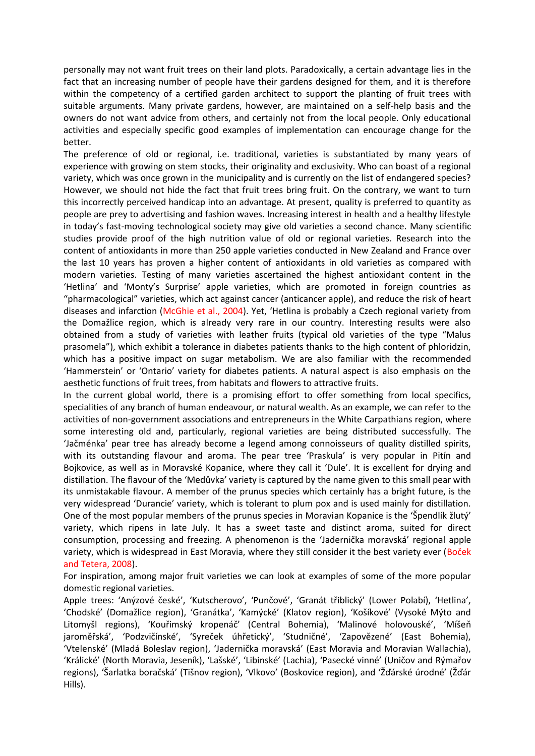personally may not want fruit trees on their land plots. Paradoxically, a certain advantage lies in the fact that an increasing number of people have their gardens designed for them, and it is therefore within the competency of a certified garden architect to support the planting of fruit trees with suitable arguments. Many private gardens, however, are maintained on a self-help basis and the owners do not want advice from others, and certainly not from the local people. Only educational activities and especially specific good examples of implementation can encourage change for the better.

The preference of old or regional, i.e. traditional, varieties is substantiated by many years of experience with growing on stem stocks, their originality and exclusivity. Who can boast of a regional variety, which was once grown in the municipality and is currently on the list of endangered species? However, we should not hide the fact that fruit trees bring fruit. On the contrary, we want to turn this incorrectly perceived handicap into an advantage. At present, quality is preferred to quantity as people are prey to advertising and fashion waves. Increasing interest in health and a healthy lifestyle in today's fast-moving technological society may give old varieties a second chance. Many scientific studies provide proof of the high nutrition value of old or regional varieties. Research into the content of antioxidants in more than 250 apple varieties conducted in New Zealand and France over the last 10 years has proven a higher content of antioxidants in old varieties as compared with modern varieties. Testing of many varieties ascertained the highest antioxidant content in the 'Hetlina' and 'Monty's Surprise' apple varieties, which are promoted in foreign countries as "pharmacological" varieties, which act against cancer (anticancer apple), and reduce the risk of heart diseases and infarction (McGhie et al., 2004). Yet, 'Hetlina is probably a Czech regional variety from the Domažlice region, which is already very rare in our country. Interesting results were also obtained from a study of varieties with leather fruits (typical old varieties of the type "Malus prasomela"), which exhibit a tolerance in diabetes patients thanks to the high content of phloridzin, which has a positive impact on sugar metabolism. We are also familiar with the recommended 'Hammerstein' or 'Ontario' variety for diabetes patients. A natural aspect is also emphasis on the aesthetic functions of fruit trees, from habitats and flowers to attractive fruits.

In the current global world, there is a promising effort to offer something from local specifics, specialities of any branch of human endeavour, or natural wealth. As an example, we can refer to the activities of non-government associations and entrepreneurs in the White Carpathians region, where some interesting old and, particularly, regional varieties are being distributed successfully. The 'Jačménka' pear tree has already become a legend among connoisseurs of quality distilled spirits, with its outstanding flavour and aroma. The pear tree 'Praskula' is very popular in Pitín and Bojkovice, as well as in Moravské Kopanice, where they call it 'Dule'. It is excellent for drying and distillation. The flavour of the 'Medůvka' variety is captured by the name given to this small pear with its unmistakable flavour. A member of the prunus species which certainly has a bright future, is the very widespread 'Durancie' variety, which is tolerant to plum pox and is used mainly for distillation. One of the most popular members of the prunus species in Moravian Kopanice is the 'Špendlík žlutý' variety, which ripens in late July. It has a sweet taste and distinct aroma, suited for direct consumption, processing and freezing. A phenomenon is the 'Jadernička moravská' regional apple variety, which is widespread in East Moravia, where they still consider it the best variety ever (Boček and Tetera, 2008).

For inspiration, among major fruit varieties we can look at examples of some of the more popular domestic regional varieties.

Apple trees: 'Anýzové české', 'Kutscherovo', 'Punčové', 'Granát třiblický' (Lower Polabí), 'Hetlina', 'Chodské' (Domažlice region), 'Granátka', 'Kamýcké' (Klatov region), 'Košíkové' (Vysoké Mýto and Litomyšl regions), 'Kouřimský kropenáč' (Central Bohemia), 'Malinové holovouské', 'Míšeň jaroměřská', 'Podzvičínské', 'Syreček úhřetický', 'Studničné', 'Zapovězené' (East Bohemia), 'Vtelenské' (Mladá Boleslav region), 'Jadernička moravská' (East Moravia and Moravian Wallachia), 'Králické' (North Moravia, Jeseník), 'Lašské', 'Libinské' (Lachia), 'Pasecké vinné' (Uničov and Rýmařov regions), 'Šarlatka boračská' (Tišnov region), 'Vlkovo' (Boskovice region), and 'Žďárské úrodné' (Žďár Hills).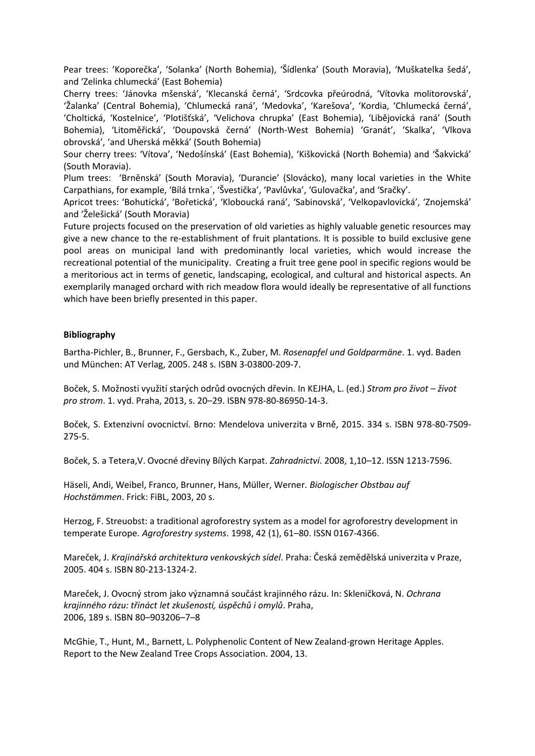Pear trees: 'Koporečka', 'Solanka' (North Bohemia), 'Šídlenka' (South Moravia), 'Muškatelka šedá', and 'Zelinka chlumecká' (East Bohemia)

Cherry trees: 'Jánovka mšenská', 'Klecanská černá', 'Srdcovka přeúrodná, 'Vítovka molitorovská', 'Žalanka' (Central Bohemia), 'Chlumecká raná', 'Medovka', 'Karešova', 'Kordia, 'Chlumecká černá', 'Choltická, 'Kostelnice', 'Plotišťská', 'Velichova chrupka' (East Bohemia), 'Libějovická raná' (South Bohemia), 'Litoměřická', 'Doupovská černá' (North-West Bohemia) 'Granát', 'Skalka', 'Vlkova obrovská', 'and Uherská měkká' (South Bohemia)

Sour cherry trees: 'Vítova', 'Nedošínská' (East Bohemia), 'Kiškovická (North Bohemia) and 'Šakvická' (South Moravia).

Plum trees: 'Brněnská' (South Moravia), 'Durancie' (Slovácko), many local varieties in the White Carpathians, for example, 'Bílá trnka´, 'Švestička', 'Pavlůvka', 'Gulovačka', and 'Sračky'.

Apricot trees: 'Bohutická', 'Bořetická', 'Kloboucká raná', 'Sabinovská', 'Velkopavlovická', 'Znojemská' and 'Želešická' (South Moravia)

Future projects focused on the preservation of old varieties as highly valuable genetic resources may give a new chance to the re-establishment of fruit plantations. It is possible to build exclusive gene pool areas on municipal land with predominantly local varieties, which would increase the recreational potential of the municipality. Creating a fruit tree gene pool in specific regions would be a meritorious act in terms of genetic, landscaping, ecological, and cultural and historical aspects. An exemplarily managed orchard with rich meadow flora would ideally be representative of all functions which have been briefly presented in this paper.

# **Bibliography**

Bartha-Pichler, B., Brunner, F., Gersbach, K., Zuber, M. *Rosenapfel und Goldparmäne*. 1. vyd. Baden und München: AT Verlag, 2005. 248 s. ISBN 3-03800-209-7.

Boček, S. Možnosti využití starých odrůd ovocných dřevin. In KEJHA, L. (ed.) *Strom pro život – život pro strom*. 1. vyd. Praha, 2013, s. 20–29. ISBN 978-80-86950-14-3.

Boček, S. Extenzivní ovocnictví. Brno: Mendelova univerzita v Brně, 2015. 334 s. ISBN 978-80-7509- 275-5.

Boček, S. a Tetera,V. Ovocné dřeviny Bílých Karpat. *Zahradnictví*. 2008, 1,10–12. ISSN 1213-7596.

Häseli, Andi, Weibel, Franco, Brunner, Hans, Müller, Werner. *Biologischer Obstbau auf Hochstämmen*. Frick: FiBL, 2003, 20 s.

Herzog, F. Streuobst: a traditional agroforestry system as a model for agroforestry development in temperate Europe. *Agroforestry systems*. 1998, 42 (1), 61–80. ISSN 0167-4366.

Mareček, J. *Krajinářská architektura venkovských sídel*. Praha: Česká zemědělská univerzita v Praze, 2005. 404 s. ISBN 80-213-1324-2.

Mareček, J. Ovocný strom jako významná součást krajinného rázu. In: Skleničková, N. *Ochrana krajinného rázu: třináct let zkušeností, úspěchů i omylů*. Praha, 2006, 189 s. ISBN 80–903206–7–8

McGhie, T., Hunt, M., Barnett, L. Polyphenolic Content of New Zealand-grown Heritage Apples. Report to the New Zealand Tree Crops Association. 2004, 13.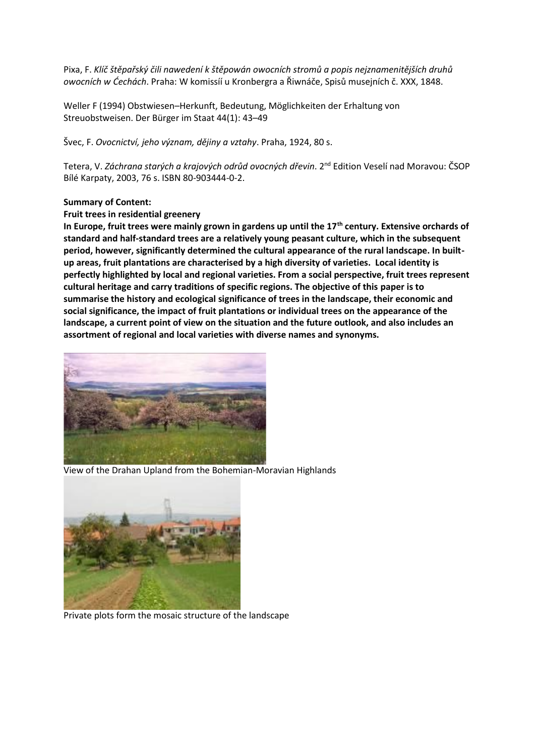Pixa, F. *Klíč štěpařský čili nawedení k štěpowán owocních stromů a popis nejznamenitějších druhů owocních w Ćechách*. Praha: W komissíí u Kronbergra a Řiwnáče, Spisů musejních č. XXX, 1848.

Weller F (1994) Obstwiesen–Herkunft, Bedeutung, Möglichkeiten der Erhaltung von Streuobstweisen. Der Bürger im Staat 44(1): 43–49

Švec, F. *Ovocnictví, jeho význam, dějiny a vztahy*. Praha, 1924, 80 s.

Tetera, V. *Záchrana starých a krajových odrůd ovocných dřevin*. 2nd Edition Veselí nad Moravou: ČSOP Bílé Karpaty, 2003, 76 s. ISBN 80-903444-0-2.

#### **Summary of Content:**

#### **Fruit trees in residential greenery**

**In Europe, fruit trees were mainly grown in gardens up until the 17th century. Extensive orchards of standard and half-standard trees are a relatively young peasant culture, which in the subsequent period, however, significantly determined the cultural appearance of the rural landscape. In built up areas, fruit plantations are characterised by a high diversity of varieties. Local identity is perfectly highlighted by local and regional varieties. From a social perspective, fruit trees represent cultural heritage and carry traditions of specific regions. The objective of this paper is to summarise the history and ecological significance of trees in the landscape, their economic and social significance, the impact of fruit plantations or individual trees on the appearance of the landscape, a current point of view on the situation and the future outlook, and also includes an assortment of regional and local varieties with diverse names and synonyms.**



View of the Drahan Upland from the Bohemian-Moravian Highlands



Private plots form the mosaic structure of the landscape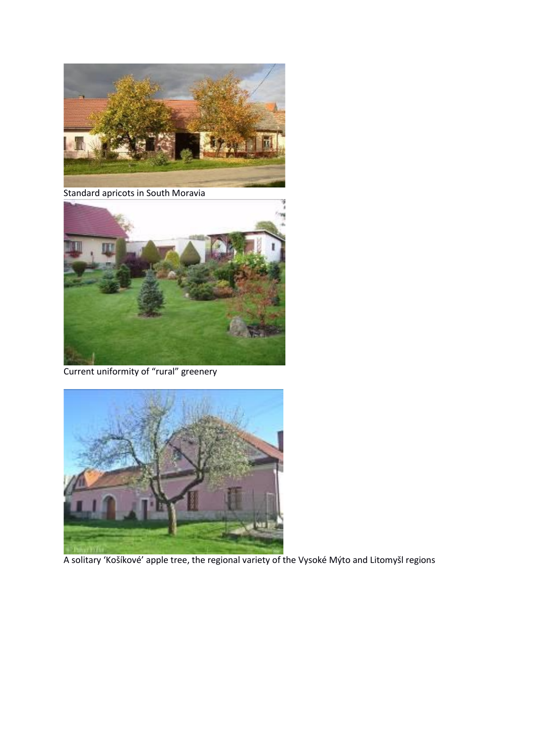

Standard apricots in South Moravia



Current uniformity of "rural" greenery



A solitary 'Košíkové' apple tree, the regional variety of the Vysoké Mýto and Litomyšl regions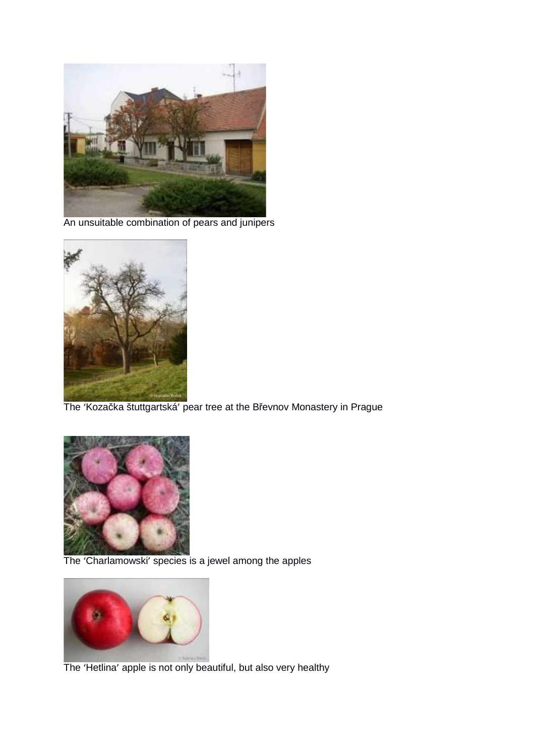

An unsuitable combination of pears and junipers



The 'Koza ka štuttgartská' pear tree at the B evnov Monastery in Prague



The 'Charlamowski' species is a jewel among the apples



The 'Hetlina' apple is not only beautiful, but also very healthy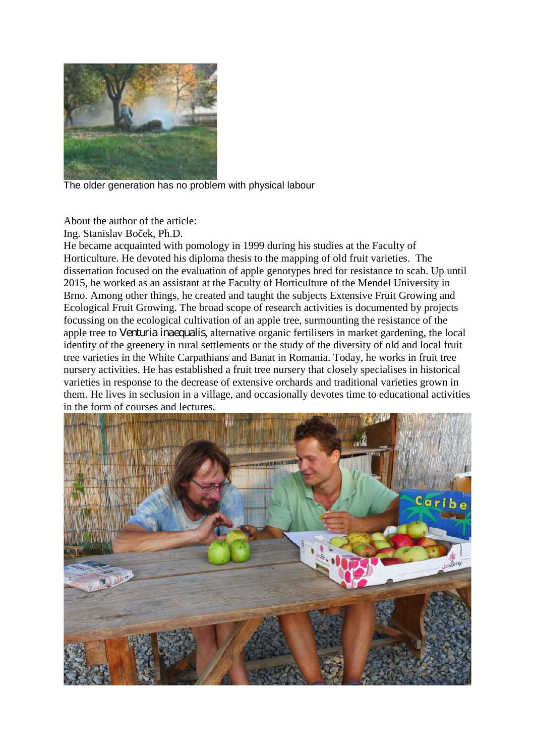

The older generation has no problem with physical labour

About the author of the article:

Ing. Stanislav Bo ek, Ph.D.

He became acquainted with pomology in 1999 during his studies at the Faculty of Horticulture. He devoted his diploma thesis to the mapping of old fruit varieties. The dissertation focused on the evaluation of apple genotypes bred for resistance to scab. Up until 2015, he worked as an assistant at the Faculty of Horticulture of the Mendel University in Brno. Among other things, he created and taught the subjects Extensive Fruit Growing and Ecological Fruit Growing. The broad scope of research activities is documented by projects focussing on the ecological cultivation of an apple tree, surmounting the resistance of the apple tree to *Venturia inaequalis*, alternative organic fertilisers in market gardening, the local identity of the greenery in rural settlements or the study of the diversity of old and local fruit tree varieties in the White Carpathians and Banat in Romania. Today, he works in fruit tree nursery activities. He has established a fruit tree nursery that closely specialises in historical varieties in response to the decrease of extensive orchards and traditional varieties grown in them. He lives in seclusion in a village, and occasionally devotes time to educational activities in the form of courses and lectures.